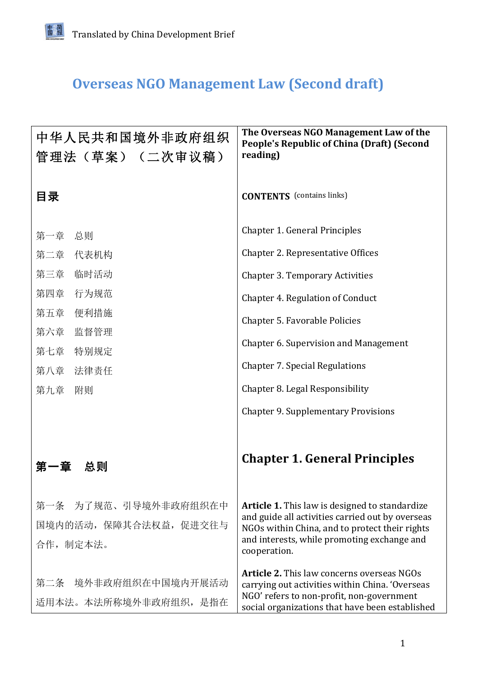## **Overseas NGO Management Law (Second draft)**

| 中华人民共和国境外非政府组织<br>管理法 (草案) (二次审议稿)                          | The Overseas NGO Management Law of the<br><b>People's Republic of China (Draft) (Second</b><br>reading)                                                                                                                    |
|-------------------------------------------------------------|----------------------------------------------------------------------------------------------------------------------------------------------------------------------------------------------------------------------------|
| 目录                                                          | <b>CONTENTS</b> (contains links)                                                                                                                                                                                           |
| 第一章 总则<br>第二章 代表机构                                          | Chapter 1. General Principles<br>Chapter 2. Representative Offices                                                                                                                                                         |
| 第三章<br>临时活动<br>第四章<br>行为规范                                  | <b>Chapter 3. Temporary Activities</b>                                                                                                                                                                                     |
| 第五章<br>便利措施<br>第六章<br>监督管理                                  | Chapter 4. Regulation of Conduct<br>Chapter 5. Favorable Policies                                                                                                                                                          |
| 第七章<br>特别规定<br>第八章 法律责任                                     | Chapter 6. Supervision and Management<br><b>Chapter 7. Special Regulations</b>                                                                                                                                             |
| 第九章 附则                                                      | Chapter 8. Legal Responsibility<br><b>Chapter 9. Supplementary Provisions</b>                                                                                                                                              |
| 总则<br>· 童                                                   | <b>Chapter 1. General Principles</b>                                                                                                                                                                                       |
| 第一条 为了规范、引导境外非政府组织在中<br>国境内的活动, 保障其合法权益, 促进交往与<br>合作, 制定本法。 | <b>Article 1.</b> This law is designed to standardize<br>and guide all activities carried out by overseas<br>NGOs within China, and to protect their rights<br>and interests, while promoting exchange and<br>cooperation. |
| 第二条 境外非政府组织在中国境内开展活动<br>适用本法。本法所称境外非政府组织, 是指在               | <b>Article 2.</b> This law concerns overseas NGOs<br>carrying out activities within China. 'Overseas<br>NGO' refers to non-profit, non-government<br>social organizations that have been established                       |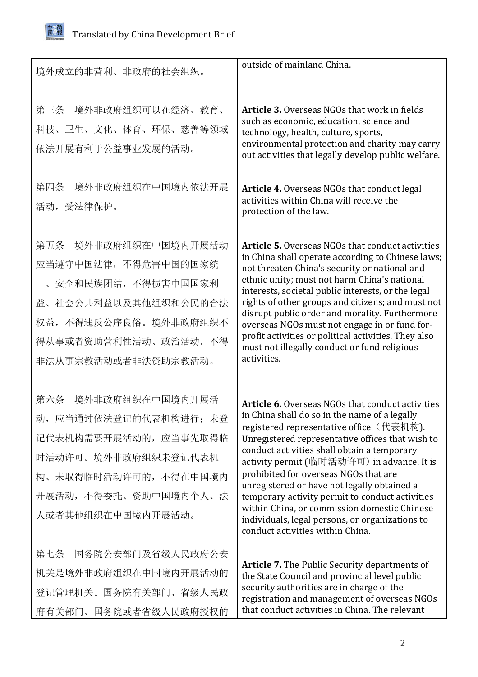

| 境外成立的非营利、非政府的社会组织。                                                                                                                                                    | outside of mainland China.                                                                                                                                                                                                                                                                                                                                                                                                                                                                                                                                                              |
|-----------------------------------------------------------------------------------------------------------------------------------------------------------------------|-----------------------------------------------------------------------------------------------------------------------------------------------------------------------------------------------------------------------------------------------------------------------------------------------------------------------------------------------------------------------------------------------------------------------------------------------------------------------------------------------------------------------------------------------------------------------------------------|
| 境外非政府组织可以在经济、教育、<br>第三条<br>科技、卫生、文化、体育、环保、慈善等领域<br>依法开展有利于公益事业发展的活动。                                                                                                  | <b>Article 3.</b> Overseas NGOs that work in fields<br>such as economic, education, science and<br>technology, health, culture, sports,<br>environmental protection and charity may carry<br>out activities that legally develop public welfare.                                                                                                                                                                                                                                                                                                                                        |
| 境外非政府组织在中国境内依法开展<br>第四条<br>活动,受法律保护。                                                                                                                                  | Article 4. Overseas NGOs that conduct legal<br>activities within China will receive the<br>protection of the law.                                                                                                                                                                                                                                                                                                                                                                                                                                                                       |
| 境外非政府组织在中国境内开展活动<br>第五条<br>应当遵守中国法律,不得危害中国的国家统<br>一、安全和民族团结,不得损害中国国家利<br>益、社会公共利益以及其他组织和公民的合法<br>权益,不得违反公序良俗。境外非政府组织不<br>得从事或者资助营利性活动、政治活动, 不得<br>非法从事宗教活动或者非法资助宗教活动。 | <b>Article 5.</b> Overseas NGOs that conduct activities<br>in China shall operate according to Chinese laws;<br>not threaten China's security or national and<br>ethnic unity; must not harm China's national<br>interests, societal public interests, or the legal<br>rights of other groups and citizens; and must not<br>disrupt public order and morality. Furthermore<br>overseas NGOs must not engage in or fund for-<br>profit activities or political activities. They also<br>must not illegally conduct or fund religious<br>activities.                                      |
| 境外非政府组织在中国境内开展活<br>第六条<br>动,应当通过依法登记的代表机构进行;未登<br>记代表机构需要开展活动的, 应当事先取得临<br>时活动许可。境外非政府组织未登记代表机<br>构、未取得临时活动许可的, 不得在中国境内<br>开展活动, 不得委托、资助中国境内个人、法<br>人或者其他组织在中国境内开展活动。 | <b>Article 6.</b> Overseas NGOs that conduct activities<br>in China shall do so in the name of a legally<br>registered representative office (代表机构).<br>Unregistered representative offices that wish to<br>conduct activities shall obtain a temporary<br>activity permit (临时活动许可) in advance. It is<br>prohibited for overseas NGOs that are<br>unregistered or have not legally obtained a<br>temporary activity permit to conduct activities<br>within China, or commission domestic Chinese<br>individuals, legal persons, or organizations to<br>conduct activities within China. |
| 第七条<br>国务院公安部门及省级人民政府公安<br>机关是境外非政府组织在中国境内开展活动的<br>登记管理机关。国务院有关部门、省级人民政<br>府有关部门、国务院或者省级人民政府授权的                                                                       | <b>Article 7.</b> The Public Security departments of<br>the State Council and provincial level public<br>security authorities are in charge of the<br>registration and management of overseas NGOs<br>that conduct activities in China. The relevant                                                                                                                                                                                                                                                                                                                                    |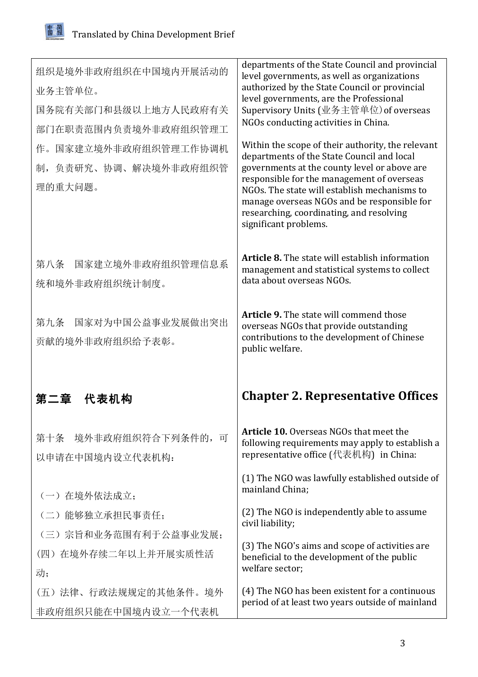<span id="page-2-0"></span>

| 组织是境外非政府组织在中国境内开展活动的<br>业务主管单位。<br>国务院有关部门和县级以上地方人民政府有关<br>部门在职责范围内负责境外非政府组织管理工<br>作。国家建立境外非政府组织管理工作协调机<br>负责研究、协调、解决境外非政府组织管<br>制,<br>理的重大问题。 | departments of the State Council and provincial<br>level governments, as well as organizations<br>authorized by the State Council or provincial<br>level governments, are the Professional<br>Supervisory Units (业务主管单位) of overseas<br>NGOs conducting activities in China.<br>Within the scope of their authority, the relevant<br>departments of the State Council and local<br>governments at the county level or above are<br>responsible for the management of overseas<br>NGOs. The state will establish mechanisms to<br>manage overseas NGOs and be responsible for<br>researching, coordinating, and resolving<br>significant problems. |
|------------------------------------------------------------------------------------------------------------------------------------------------|---------------------------------------------------------------------------------------------------------------------------------------------------------------------------------------------------------------------------------------------------------------------------------------------------------------------------------------------------------------------------------------------------------------------------------------------------------------------------------------------------------------------------------------------------------------------------------------------------------------------------------------------------|
| 国家建立境外非政府组织管理信息系<br>第八条<br>统和境外非政府组织统计制度。                                                                                                      | <b>Article 8.</b> The state will establish information<br>management and statistical systems to collect<br>data about overseas NGOs.                                                                                                                                                                                                                                                                                                                                                                                                                                                                                                              |
| 国家对为中国公益事业发展做出突出<br>第九条<br>贡献的境外非政府组织给予表彰。                                                                                                     | <b>Article 9.</b> The state will commend those<br>overseas NGOs that provide outstanding<br>contributions to the development of Chinese<br>public welfare.                                                                                                                                                                                                                                                                                                                                                                                                                                                                                        |
|                                                                                                                                                |                                                                                                                                                                                                                                                                                                                                                                                                                                                                                                                                                                                                                                                   |
| 代表机构                                                                                                                                           | <b>Chapter 2. Representative Offices</b>                                                                                                                                                                                                                                                                                                                                                                                                                                                                                                                                                                                                          |
| 境外非政府组织符合下列条件的, 可<br>第十条<br>以申请在中国境内设立代表机构:                                                                                                    | <b>Article 10.</b> Overseas NGOs that meet the<br>following requirements may apply to establish a<br>representative office (代表机构) in China:                                                                                                                                                                                                                                                                                                                                                                                                                                                                                                       |
|                                                                                                                                                | (1) The NGO was lawfully established outside of<br>mainland China;                                                                                                                                                                                                                                                                                                                                                                                                                                                                                                                                                                                |
| (一) 在境外依法成立;<br>(二)能够独立承担民事责任;                                                                                                                 | (2) The NGO is independently able to assume<br>civil liability;                                                                                                                                                                                                                                                                                                                                                                                                                                                                                                                                                                                   |
| (三)宗旨和业务范围有利于公益事业发展;<br>(四) 在境外存续二年以上并开展实质性活<br>动;                                                                                             | (3) The NGO's aims and scope of activities are<br>beneficial to the development of the public<br>welfare sector;                                                                                                                                                                                                                                                                                                                                                                                                                                                                                                                                  |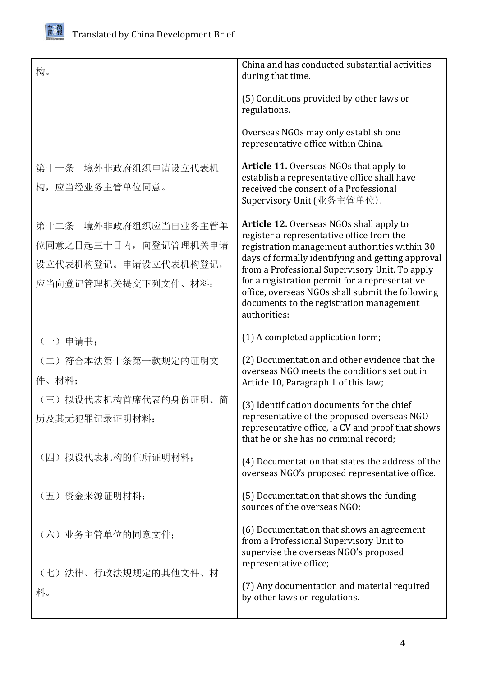

| 构。                                                                                           | China and has conducted substantial activities<br>during that time.                                                                                                                                                                                                                                                                                                                                                    |
|----------------------------------------------------------------------------------------------|------------------------------------------------------------------------------------------------------------------------------------------------------------------------------------------------------------------------------------------------------------------------------------------------------------------------------------------------------------------------------------------------------------------------|
|                                                                                              | (5) Conditions provided by other laws or<br>regulations.                                                                                                                                                                                                                                                                                                                                                               |
|                                                                                              | Overseas NGOs may only establish one<br>representative office within China.                                                                                                                                                                                                                                                                                                                                            |
| 第十一条 境外非政府组织申请设立代表机<br>构, 应当经业务主管单位同意。                                                       | <b>Article 11.</b> Overseas NGOs that apply to<br>establish a representative office shall have<br>received the consent of a Professional<br>Supervisory Unit (业务主管单位).                                                                                                                                                                                                                                                 |
| 第十二条 境外非政府组织应当自业务主管单<br>位同意之日起三十日内, 向登记管理机关申请<br>设立代表机构登记。申请设立代表机构登记,<br>应当向登记管理机关提交下列文件、材料: | <b>Article 12.</b> Overseas NGOs shall apply to<br>register a representative office from the<br>registration management authorities within 30<br>days of formally identifying and getting approval<br>from a Professional Supervisory Unit. To apply<br>for a registration permit for a representative<br>office, overseas NGOs shall submit the following<br>documents to the registration management<br>authorities: |
| (一) 申请书;                                                                                     | (1) A completed application form;                                                                                                                                                                                                                                                                                                                                                                                      |
| (二) 符合本法第十条第一款规定的证明文<br>件、材料;                                                                | (2) Documentation and other evidence that the<br>overseas NGO meets the conditions set out in<br>Article 10, Paragraph 1 of this law;                                                                                                                                                                                                                                                                                  |
| (三) 拟设代表机构首席代表的身份证明、简<br>历及其无犯罪记录证明材料;                                                       | (3) Identification documents for the chief<br>representative of the proposed overseas NGO<br>representative office, a CV and proof that shows<br>that he or she has no criminal record;                                                                                                                                                                                                                                |
| (四) 拟设代表机构的住所证明材料;                                                                           | (4) Documentation that states the address of the<br>overseas NGO's proposed representative office.                                                                                                                                                                                                                                                                                                                     |
| (五) 资金来源证明材料;                                                                                | (5) Documentation that shows the funding<br>sources of the overseas NGO;                                                                                                                                                                                                                                                                                                                                               |
| (六) 业务主管单位的同意文件;                                                                             | (6) Documentation that shows an agreement<br>from a Professional Supervisory Unit to<br>supervise the overseas NGO's proposed<br>representative office;                                                                                                                                                                                                                                                                |
| (七)法律、行政法规规定的其他文件、材<br>料。                                                                    | (7) Any documentation and material required<br>by other laws or regulations.                                                                                                                                                                                                                                                                                                                                           |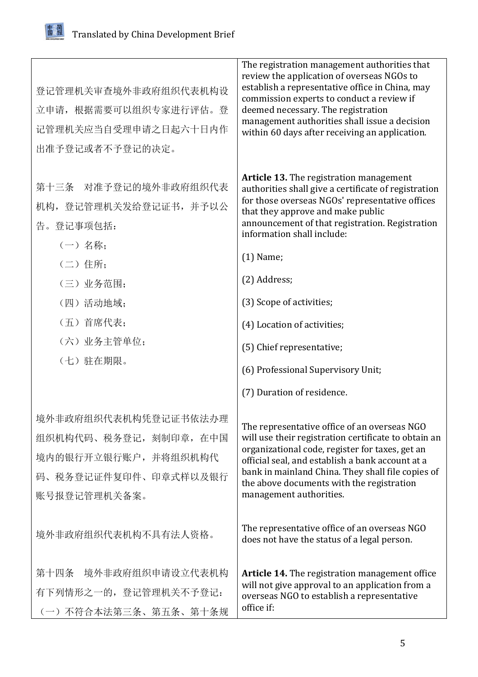由发简

| 登记管理机关审查境外非政府组织代表机构设<br>立申请, 根据需要可以组织专家进行评估。登<br>记管理机关应当自受理申请之日起六十日内作<br>出准予登记或者不予登记的决定。                       | The registration management authorities that<br>review the application of overseas NGOs to<br>establish a representative office in China, may<br>commission experts to conduct a review if<br>deemed necessary. The registration<br>management authorities shall issue a decision<br>within 60 days after receiving an application.      |
|----------------------------------------------------------------------------------------------------------------|------------------------------------------------------------------------------------------------------------------------------------------------------------------------------------------------------------------------------------------------------------------------------------------------------------------------------------------|
| 第十三条 对准予登记的境外非政府组织代表<br>机构, 登记管理机关发给登记证书, 并予以公<br>告。登记事项包括:<br>(一) 名称:<br>(二) 住所;                              | <b>Article 13.</b> The registration management<br>authorities shall give a certificate of registration<br>for those overseas NGOs' representative offices<br>that they approve and make public<br>announcement of that registration. Registration<br>information shall include:<br>$(1)$ Name;                                           |
| (三) 业务范围;                                                                                                      | (2) Address;                                                                                                                                                                                                                                                                                                                             |
| (四)活动地域;                                                                                                       | (3) Scope of activities;                                                                                                                                                                                                                                                                                                                 |
| (五) 首席代表;                                                                                                      | (4) Location of activities;                                                                                                                                                                                                                                                                                                              |
| (六) 业务主管单位;                                                                                                    | (5) Chief representative;                                                                                                                                                                                                                                                                                                                |
| (七) 驻在期限。                                                                                                      | (6) Professional Supervisory Unit;                                                                                                                                                                                                                                                                                                       |
|                                                                                                                | (7) Duration of residence.                                                                                                                                                                                                                                                                                                               |
| 境外非政府组织代表机构凭登记证书依法办理<br>组织机构代码、税务登记, 刻制印章, 在中国<br>境内的银行开立银行账户, 并将组织机构代<br>码、税务登记证件复印件、印章式样以及银行<br>账号报登记管理机关备案。 | The representative office of an overseas NGO<br>will use their registration certificate to obtain an<br>organizational code, register for taxes, get an<br>official seal, and establish a bank account at a<br>bank in mainland China. They shall file copies of<br>the above documents with the registration<br>management authorities. |
| 境外非政府组织代表机构不具有法人资格。                                                                                            | The representative office of an overseas NGO<br>does not have the status of a legal person.                                                                                                                                                                                                                                              |
| 第十四条 境外非政府组织申请设立代表机构<br>有下列情形之一的, 登记管理机关不予登记:<br>(一) 不符合本法第三条、第五条、第十条规                                         | <b>Article 14.</b> The registration management office<br>will not give approval to an application from a<br>overseas NGO to establish a representative<br>office if:                                                                                                                                                                     |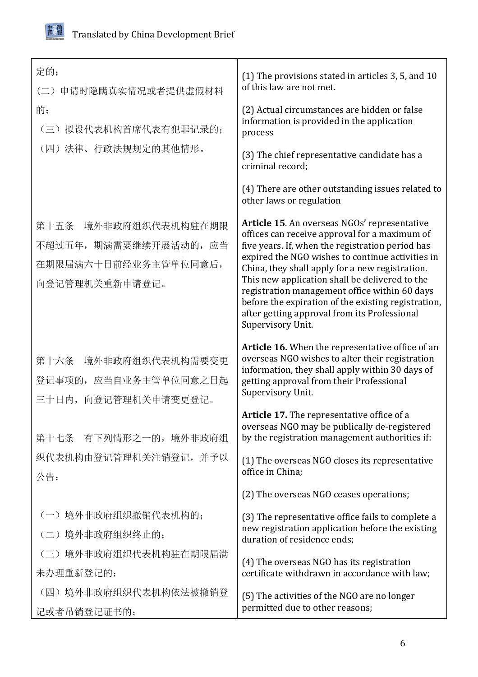

| 定的;<br>申请时隐瞒真实情况或者提供虚假材料<br>$(\rightharpoonup)$<br>的;<br>(三) 拟设代表机构首席代表有犯罪记录的;<br>(四)法律、行政法规规定的其他情形。 | (1) The provisions stated in articles 3, 5, and 10<br>of this law are not met.<br>(2) Actual circumstances are hidden or false<br>information is provided in the application<br>process<br>(3) The chief representative candidate has a<br>criminal record:                                                                                                                                                                                                                             |
|------------------------------------------------------------------------------------------------------|-----------------------------------------------------------------------------------------------------------------------------------------------------------------------------------------------------------------------------------------------------------------------------------------------------------------------------------------------------------------------------------------------------------------------------------------------------------------------------------------|
|                                                                                                      | (4) There are other outstanding issues related to<br>other laws or regulation                                                                                                                                                                                                                                                                                                                                                                                                           |
| 境外非政府组织代表机构驻在期限<br>第十五条<br>不超过五年, 期满需要继续开展活动的, 应当<br>在期限届满六十日前经业务主管单位同意后,<br>向登记管理机关重新申请登记。          | Article 15. An overseas NGOs' representative<br>offices can receive approval for a maximum of<br>five years. If, when the registration period has<br>expired the NGO wishes to continue activities in<br>China, they shall apply for a new registration.<br>This new application shall be delivered to the<br>registration management office within 60 days<br>before the expiration of the existing registration,<br>after getting approval from its Professional<br>Supervisory Unit. |
| 境外非政府组织代表机构需要变更<br>第十六条<br>登记事项的, 应当自业务主管单位同意之日起<br>三十日内,向登记管理机关申请变更登记。                              | Article 16. When the representative office of an<br>overseas NGO wishes to alter their registration<br>information, they shall apply within 30 days of<br>getting approval from their Professional<br>Supervisory Unit.                                                                                                                                                                                                                                                                 |
| 第十七条 有下列情形之一的,境外非政府组<br>织代表机构由登记管理机关注销登记, 并予以<br>公告:                                                 | Article 17. The representative office of a<br>overseas NGO may be publically de-registered<br>by the registration management authorities if:<br>(1) The overseas NGO closes its representative<br>office in China;                                                                                                                                                                                                                                                                      |
|                                                                                                      | (2) The overseas NGO ceases operations;                                                                                                                                                                                                                                                                                                                                                                                                                                                 |
| (一)境外非政府组织撤销代表机构的;<br>(二)境外非政府组织终止的;<br>(三) 境外非政府组织代表机构驻在期限届满                                        | (3) The representative office fails to complete a<br>new registration application before the existing<br>duration of residence ends;                                                                                                                                                                                                                                                                                                                                                    |
| 未办理重新登记的;                                                                                            | (4) The overseas NGO has its registration<br>certificate withdrawn in accordance with law;                                                                                                                                                                                                                                                                                                                                                                                              |
| (四) 境外非政府组织代表机构依法被撤销登<br>记或者吊销登记证书的;                                                                 | (5) The activities of the NGO are no longer<br>permitted due to other reasons;                                                                                                                                                                                                                                                                                                                                                                                                          |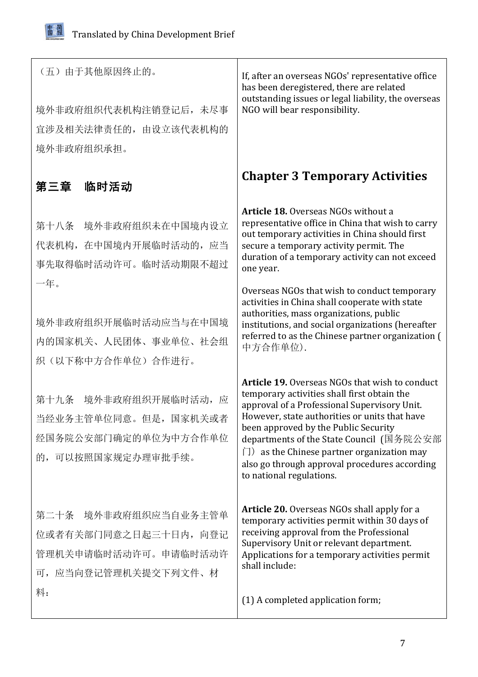<span id="page-6-0"></span>

| (五) 由于其他原因终止的。<br>境外非政府组织代表机构注销登记后, 未尽事<br>宜涉及相关法律责任的, 由设立该代表机构的<br>境外非政府组织承担。                      | If, after an overseas NGOs' representative office<br>has been deregistered, there are related<br>outstanding issues or legal liability, the overseas<br>NGO will bear responsibility.                                                                                                                                                                                                                                                      |
|-----------------------------------------------------------------------------------------------------|--------------------------------------------------------------------------------------------------------------------------------------------------------------------------------------------------------------------------------------------------------------------------------------------------------------------------------------------------------------------------------------------------------------------------------------------|
| 第三章<br>临时活动                                                                                         | <b>Chapter 3 Temporary Activities</b>                                                                                                                                                                                                                                                                                                                                                                                                      |
| 境外非政府组织未在中国境内设立<br>第十八条<br>代表机构, 在中国境内开展临时活动的, 应当<br>事先取得临时活动许可。临时活动期限不超过<br>一年。                    | Article 18. Overseas NGOs without a<br>representative office in China that wish to carry<br>out temporary activities in China should first<br>secure a temporary activity permit. The<br>duration of a temporary activity can not exceed<br>one year.                                                                                                                                                                                      |
| 境外非政府组织开展临时活动应当与在中国境<br>内的国家机关、人民团体、事业单位、社会组<br>织(以下称中方合作单位)合作进行。                                   | Overseas NGOs that wish to conduct temporary<br>activities in China shall cooperate with state<br>authorities, mass organizations, public<br>institutions, and social organizations (hereafter<br>referred to as the Chinese partner organization (<br>中方合作单位).                                                                                                                                                                            |
| 第十九条 境外非政府组织开展临时活动, 应<br>当经业务主管单位同意。但是, 国家机关或者<br>经国务院公安部门确定的单位为中方合作单位<br>的,可以按照国家规定办理审批手续。         | <b>Article 19.</b> Overseas NGOs that wish to conduct<br>temporary activities shall first obtain the<br>approval of a Professional Supervisory Unit.<br>However, state authorities or units that have<br>been approved by the Public Security<br>departments of the State Council (国务院公安部<br>$\vert \overline{\vert}$ as the Chinese partner organization may<br>also go through approval procedures according<br>to national regulations. |
| 第二十条 境外非政府组织应当自业务主管单<br>位或者有关部门同意之日起三十日内, 向登记<br>管理机关申请临时活动许可。申请临时活动许<br>可, 应当向登记管理机关提交下列文件、材<br>料: | <b>Article 20.</b> Overseas NGOs shall apply for a<br>temporary activities permit within 30 days of<br>receiving approval from the Professional<br>Supervisory Unit or relevant department.<br>Applications for a temporary activities permit<br>shall include:                                                                                                                                                                            |
|                                                                                                     | (1) A completed application form;                                                                                                                                                                                                                                                                                                                                                                                                          |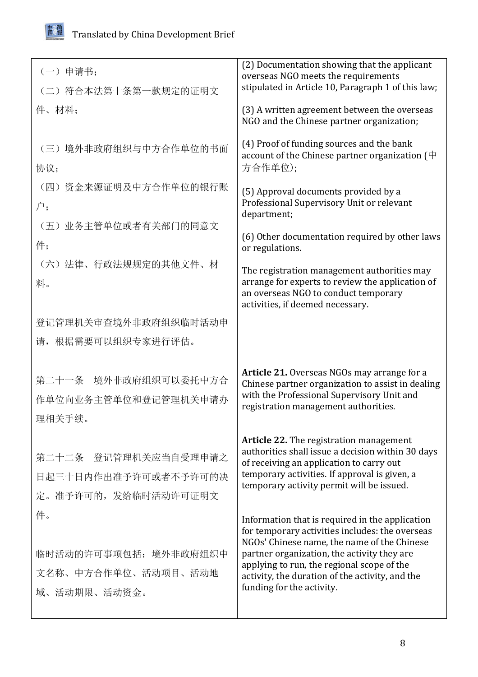

| (一) 申请书:                                                             | (2) Documentation showing that the applicant<br>overseas NGO meets the requirements                                                                                                                                                                                                                                            |
|----------------------------------------------------------------------|--------------------------------------------------------------------------------------------------------------------------------------------------------------------------------------------------------------------------------------------------------------------------------------------------------------------------------|
| (二) 符合本法第十条第一款规定的证明文                                                 | stipulated in Article 10, Paragraph 1 of this law;                                                                                                                                                                                                                                                                             |
| 件、材料:                                                                | (3) A written agreement between the overseas<br>NGO and the Chinese partner organization;                                                                                                                                                                                                                                      |
| (三)境外非政府组织与中方合作单位的书面<br>协议;                                          | (4) Proof of funding sources and the bank<br>account of the Chinese partner organization ( $\#$<br>方合作单位);                                                                                                                                                                                                                     |
| (四) 资金来源证明及中方合作单位的银行账<br>户;                                          | (5) Approval documents provided by a<br>Professional Supervisory Unit or relevant<br>department;                                                                                                                                                                                                                               |
| (五) 业务主管单位或者有关部门的同意文<br>件;                                           | (6) Other documentation required by other laws<br>or regulations.                                                                                                                                                                                                                                                              |
| (六)法律、行政法规规定的其他文件、材<br>料。                                            | The registration management authorities may<br>arrange for experts to review the application of<br>an overseas NGO to conduct temporary<br>activities, if deemed necessary.                                                                                                                                                    |
| 登记管理机关审查境外非政府组织临时活动申                                                 |                                                                                                                                                                                                                                                                                                                                |
| 请, 根据需要可以组织专家进行评估。                                                   |                                                                                                                                                                                                                                                                                                                                |
| 第二十一条 境外非政府组织可以委托中方合<br>作单位向业务主管单位和登记管理机关申请办<br>理相关手续。               | Article 21. Overseas NGOs may arrange for a<br>Chinese partner organization to assist in dealing<br>with the Professional Supervisory Unit and<br>registration management authorities.                                                                                                                                         |
| 第二十二条 登记管理机关应当自受理申请之<br>日起三十日内作出准予许可或者不予许可的决<br>定。准予许可的, 发给临时活动许可证明文 | <b>Article 22.</b> The registration management<br>authorities shall issue a decision within 30 days<br>of receiving an application to carry out<br>temporary activities. If approval is given, a<br>temporary activity permit will be issued.                                                                                  |
| 件。<br>临时活动的许可事项包括:境外非政府组织中<br>文名称、中方合作单位、活动项目、活动地<br>域、活动期限、活动资金。    | Information that is required in the application<br>for temporary activities includes: the overseas<br>NGOs' Chinese name, the name of the Chinese<br>partner organization, the activity they are<br>applying to run, the regional scope of the<br>activity, the duration of the activity, and the<br>funding for the activity. |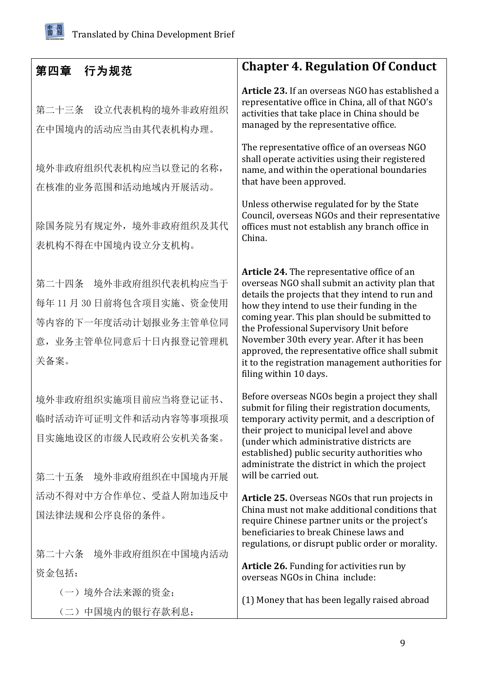<span id="page-8-0"></span>

| 第四章<br>行为规范                                                                                               | <b>Chapter 4. Regulation Of Conduct</b>                                                                                                                                                                                                                                                                                                                                                                                                                                          |
|-----------------------------------------------------------------------------------------------------------|----------------------------------------------------------------------------------------------------------------------------------------------------------------------------------------------------------------------------------------------------------------------------------------------------------------------------------------------------------------------------------------------------------------------------------------------------------------------------------|
| 设立代表机构的境外非政府组织<br>第二十三条<br>在中国境内的活动应当由其代表机构办理。                                                            | Article 23. If an overseas NGO has established a<br>representative office in China, all of that NGO's<br>activities that take place in China should be<br>managed by the representative office.                                                                                                                                                                                                                                                                                  |
| 境外非政府组织代表机构应当以登记的名称,<br>在核准的业务范围和活动地域内开展活动。                                                               | The representative office of an overseas NGO<br>shall operate activities using their registered<br>name, and within the operational boundaries<br>that have been approved.                                                                                                                                                                                                                                                                                                       |
| 除国务院另有规定外, 境外非政府组织及其代<br>表机构不得在中国境内设立分支机构。                                                                | Unless otherwise regulated for by the State<br>Council, overseas NGOs and their representative<br>offices must not establish any branch office in<br>China.                                                                                                                                                                                                                                                                                                                      |
| 境外非政府组织代表机构应当于<br>第二十四条<br>每年11月30日前将包含项目实施、资金使用<br>等内容的下一年度活动计划报业务主管单位同<br>意, 业务主管单位同意后十日内报登记管理机<br>关备案。 | Article 24. The representative office of an<br>overseas NGO shall submit an activity plan that<br>details the projects that they intend to run and<br>how they intend to use their funding in the<br>coming year. This plan should be submitted to<br>the Professional Supervisory Unit before<br>November 30th every year. After it has been<br>approved, the representative office shall submit<br>it to the registration management authorities for<br>filing within 10 days. |
| 境外非政府组织实施项目前应当将登记证书、<br>临时活动许可证明文件和活动内容等事项报项<br>目实施地设区的市级人民政府公安机关备案。<br>第二十五条 境外非政府组织在中国境内开展              | Before overseas NGOs begin a project they shall<br>submit for filing their registration documents,<br>temporary activity permit, and a description of<br>their project to municipal level and above<br>(under which administrative districts are<br>established) public security authorities who<br>administrate the district in which the project<br>will be carried out.                                                                                                       |
| 活动不得对中方合作单位、受益人附加违反中<br>国法律法规和公序良俗的条件。                                                                    | Article 25. Overseas NGOs that run projects in<br>China must not make additional conditions that<br>require Chinese partner units or the project's<br>beneficiaries to break Chinese laws and<br>regulations, or disrupt public order or morality.                                                                                                                                                                                                                               |
| 第二十六条 境外非政府组织在中国境内活动<br>资金包括:                                                                             | <b>Article 26.</b> Funding for activities run by                                                                                                                                                                                                                                                                                                                                                                                                                                 |
| (一) 境外合法来源的资金;                                                                                            | overseas NGOs in China include:                                                                                                                                                                                                                                                                                                                                                                                                                                                  |
| (二)中国境内的银行存款利息;                                                                                           | (1) Money that has been legally raised abroad                                                                                                                                                                                                                                                                                                                                                                                                                                    |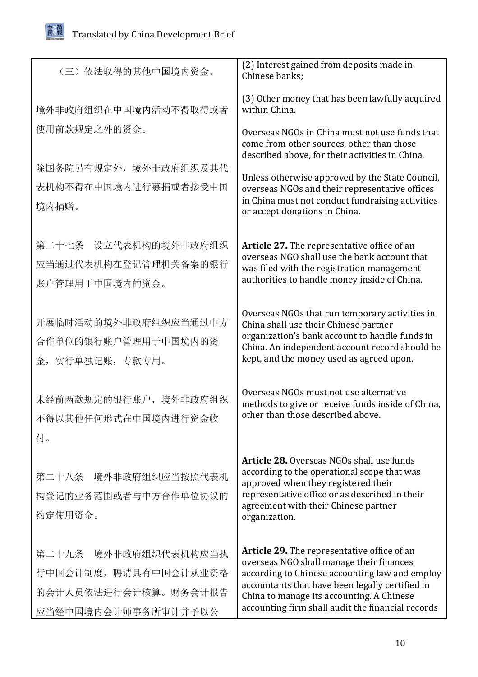

| (三) 依法取得的其他中国境内资金。            | (2) Interest gained from deposits made in<br>Chinese banks;                                                                                                                            |
|-------------------------------|----------------------------------------------------------------------------------------------------------------------------------------------------------------------------------------|
| 境外非政府组织在中国境内活动不得取得或者          | (3) Other money that has been lawfully acquired<br>within China.                                                                                                                       |
| 使用前款规定之外的资金。                  | Overseas NGOs in China must not use funds that<br>come from other sources, other than those<br>described above, for their activities in China.                                         |
| 除国务院另有规定外,境外非政府组织及其代          |                                                                                                                                                                                        |
| 表机构不得在中国境内进行募捐或者接受中国<br>境内捐赠。 | Unless otherwise approved by the State Council,<br>overseas NGOs and their representative offices<br>in China must not conduct fundraising activities<br>or accept donations in China. |
| 第二十七条 设立代表机构的境外非政府组织          | Article 27. The representative office of an                                                                                                                                            |
| 应当通过代表机构在登记管理机关备案的银行          | overseas NGO shall use the bank account that<br>was filed with the registration management                                                                                             |
| 账户管理用于中国境内的资金。                | authorities to handle money inside of China.                                                                                                                                           |
| 开展临时活动的境外非政府组织应当通过中方          | Overseas NGOs that run temporary activities in<br>China shall use their Chinese partner                                                                                                |
| 合作单位的银行账户管理用于中国境内的资           | organization's bank account to handle funds in<br>China. An independent account record should be                                                                                       |
| 金,实行单独记账,专款专用。                | kept, and the money used as agreed upon.                                                                                                                                               |
| 未经前两款规定的银行账户,境外非政府组织          | Overseas NGOs must not use alternative<br>methods to give or receive funds inside of China,                                                                                            |
| 不得以其他任何形式在中国境内进行资金收           | other than those described above.                                                                                                                                                      |
| 付。                            |                                                                                                                                                                                        |
| 第二十八条 境外非政府组织应当按照代表机          | Article 28. Overseas NGOs shall use funds<br>according to the operational scope that was                                                                                               |
| 构登记的业务范围或者与中方合作单位协议的          | approved when they registered their<br>representative office or as described in their                                                                                                  |
| 约定使用资金。                       | agreement with their Chinese partner<br>organization.                                                                                                                                  |
| 第二十九条 境外非政府组织代表机构应当执          | <b>Article 29.</b> The representative office of an                                                                                                                                     |
| 行中国会计制度, 聘请具有中国会计从业资格         | overseas NGO shall manage their finances<br>according to Chinese accounting law and employ                                                                                             |
| 的会计人员依法进行会计核算。财务会计报告          | accountants that have been legally certified in<br>China to manage its accounting. A Chinese                                                                                           |
| 应当经中国境内会计师事务所审计并予以公           | accounting firm shall audit the financial records                                                                                                                                      |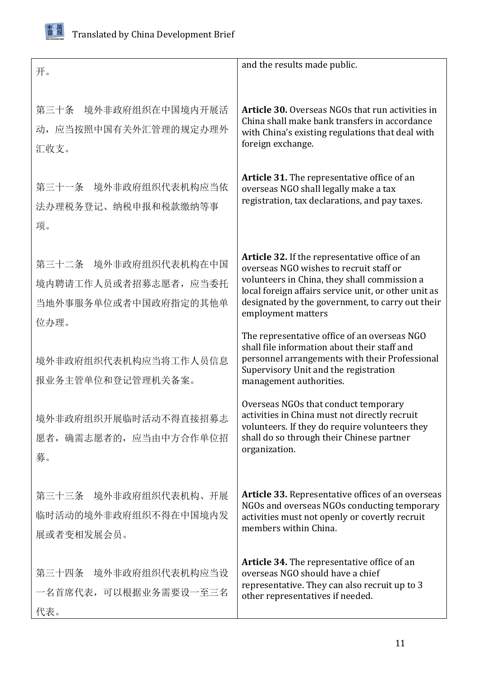

| 开。                                                                            | and the results made public.                                                                                                                                                                                                                                                |
|-------------------------------------------------------------------------------|-----------------------------------------------------------------------------------------------------------------------------------------------------------------------------------------------------------------------------------------------------------------------------|
| 第三十条 境外非政府组织在中国境内开展活<br>动, 应当按照中国有关外汇管理的规定办理外<br>汇收支。                         | <b>Article 30.</b> Overseas NGOs that run activities in<br>China shall make bank transfers in accordance<br>with China's existing regulations that deal with<br>foreign exchange.                                                                                           |
| 第三十一条 境外非政府组织代表机构应当依<br>法办理税务登记、纳税申报和税款缴纳等事<br>项。                             | Article 31. The representative office of an<br>overseas NGO shall legally make a tax<br>registration, tax declarations, and pay taxes.                                                                                                                                      |
| 第三十二条 境外非政府组织代表机构在中国<br>境内聘请工作人员或者招募志愿者, 应当委托<br>当地外事服务单位或者中国政府指定的其他单<br>位办理。 | Article 32. If the representative office of an<br>overseas NGO wishes to recruit staff or<br>volunteers in China, they shall commission a<br>local foreign affairs service unit, or other unit as<br>designated by the government, to carry out their<br>employment matters |
| 境外非政府组织代表机构应当将工作人员信息<br>报业务主管单位和登记管理机关备案。                                     | The representative office of an overseas NGO<br>shall file information about their staff and<br>personnel arrangements with their Professional<br>Supervisory Unit and the registration<br>management authorities.                                                          |
| 境外非政府组织开展临时活动不得直接招募志<br>愿者, 确需志愿者的, 应当由中方合作单位招<br>募。                          | Overseas NGOs that conduct temporary<br>activities in China must not directly recruit<br>volunteers. If they do require volunteers they<br>shall do so through their Chinese partner<br>organization.                                                                       |
| 第三十三条 境外非政府组织代表机构、开展<br>临时活动的境外非政府组织不得在中国境内发<br>展或者变相发展会员。                    | Article 33. Representative offices of an overseas<br>NGOs and overseas NGOs conducting temporary<br>activities must not openly or covertly recruit<br>members within China.                                                                                                 |
| 第三十四条 境外非政府组织代表机构应当设<br>一名首席代表,可以根据业务需要设一至三名<br>代表。                           | Article 34. The representative office of an<br>overseas NGO should have a chief<br>representative. They can also recruit up to 3<br>other representatives if needed.                                                                                                        |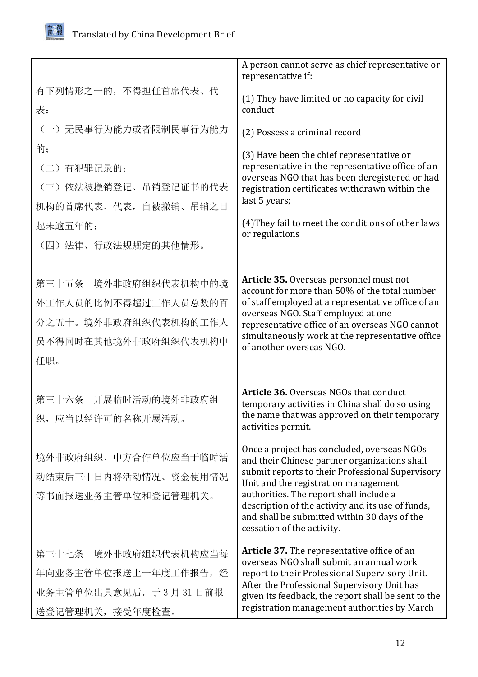

|                                                                                                     | A person cannot serve as chief representative or<br>representative if:                                                                                                                                                                                                                                                                                                 |
|-----------------------------------------------------------------------------------------------------|------------------------------------------------------------------------------------------------------------------------------------------------------------------------------------------------------------------------------------------------------------------------------------------------------------------------------------------------------------------------|
| 有下列情形之一的, 不得担任首席代表、代<br>表:                                                                          | (1) They have limited or no capacity for civil<br>conduct                                                                                                                                                                                                                                                                                                              |
| (一) 无民事行为能力或者限制民事行为能力                                                                               | (2) Possess a criminal record                                                                                                                                                                                                                                                                                                                                          |
| 的;<br>(二)有犯罪记录的;<br>(三) 依法被撤销登记、吊销登记证书的代表<br>机构的首席代表、代表, 自被撤销、吊销之日<br>起未逾五年的;<br>(四)法律、行政法规规定的其他情形。 | (3) Have been the chief representative or<br>representative in the representative office of an<br>overseas NGO that has been deregistered or had<br>registration certificates withdrawn within the<br>last 5 years;<br>(4) They fail to meet the conditions of other laws<br>or regulations                                                                            |
| 第三十五条 境外非政府组织代表机构中的境<br>外工作人员的比例不得超过工作人员总数的百<br>分之五十。境外非政府组织代表机构的工作人<br>员不得同时在其他境外非政府组织代表机构中<br>任职。 | Article 35. Overseas personnel must not<br>account for more than 50% of the total number<br>of staff employed at a representative office of an<br>overseas NGO. Staff employed at one<br>representative office of an overseas NGO cannot<br>simultaneously work at the representative office<br>of another overseas NGO.                                               |
| 第三十六条 开展临时活动的境外非政府组<br>织,应当以经许可的名称开展活动。                                                             | <b>Article 36. Overseas NGOs that conduct</b><br>temporary activities in China shall do so using<br>the name that was approved on their temporary<br>activities permit.                                                                                                                                                                                                |
| 境外非政府组织、中方合作单位应当于临时活<br>动结束后三十日内将活动情况、资金使用情况<br>等书面报送业务主管单位和登记管理机关。                                 | Once a project has concluded, overseas NGOs<br>and their Chinese partner organizations shall<br>submit reports to their Professional Supervisory<br>Unit and the registration management<br>authorities. The report shall include a<br>description of the activity and its use of funds,<br>and shall be submitted within 30 days of the<br>cessation of the activity. |
| 第三十七条 境外非政府组织代表机构应当每<br>年向业务主管单位报送上一年度工作报告, 经<br>业务主管单位出具意见后, 于3月31日前报<br>送登记管理机关, 接受年度检查。          | Article 37. The representative office of an<br>overseas NGO shall submit an annual work<br>report to their Professional Supervisory Unit.<br>After the Professional Supervisory Unit has<br>given its feedback, the report shall be sent to the<br>registration management authorities by March                                                                        |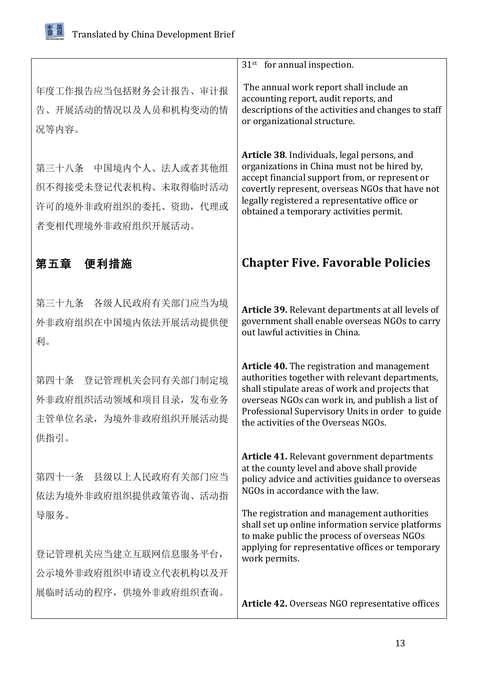<span id="page-12-0"></span>

|                                                                                           | $31st$ for annual inspection.                                                                                                                                                                                                                                                                     |
|-------------------------------------------------------------------------------------------|---------------------------------------------------------------------------------------------------------------------------------------------------------------------------------------------------------------------------------------------------------------------------------------------------|
| 年度工作报告应当包括财务会计报告、审计报<br>告、开展活动的情况以及人员和机构变动的情<br>况等内容。                                     | The annual work report shall include an<br>accounting report, audit reports, and<br>descriptions of the activities and changes to staff<br>or organizational structure.                                                                                                                           |
| 第三十八条 中国境内个人、法人或者其他组<br>织不得接受未登记代表机构、未取得临时活动<br>许可的境外非政府组织的委托、资助,代理或<br>者变相代理境外非政府组织开展活动。 | Article 38. Individuals, legal persons, and<br>organizations in China must not be hired by,<br>accept financial support from, or represent or<br>covertly represent, overseas NGOs that have not<br>legally registered a representative office or<br>obtained a temporary activities permit.      |
| 第五章<br>便利措施                                                                               | <b>Chapter Five. Favorable Policies</b>                                                                                                                                                                                                                                                           |
| 第三十九条 各级人民政府有关部门应当为境<br>外非政府组织在中国境内依法开展活动提供便<br>利。                                        | Article 39. Relevant departments at all levels of<br>government shall enable overseas NGOs to carry<br>out lawful activities in China.                                                                                                                                                            |
| 第四十条<br>登记管理机关会同有关部门制定境<br>外非政府组织活动领域和项目目录, 发布业务<br>主管单位名录, 为境外非政府组织开展活动提<br>供指引。         | Article 40. The registration and management<br>authorities together with relevant departments,<br>shall stipulate areas of work and projects that<br>overseas NGOs can work in, and publish a list of<br>Professional Supervisory Units in order to guide<br>the activities of the Overseas NGOs. |
| 第四十一条 县级以上人民政府有关部门应当<br>依法为境外非政府组织提供政策咨询、活动指                                              | <b>Article 41.</b> Relevant government departments<br>at the county level and above shall provide<br>policy advice and activities guidance to overseas<br>NGOs in accordance with the law.                                                                                                        |
| 导服务。<br>登记管理机关应当建立互联网信息服务平台,                                                              | The registration and management authorities<br>shall set up online information service platforms<br>to make public the process of overseas NGOs<br>applying for representative offices or temporary                                                                                               |
| 公示境外非政府组织申请设立代表机构以及开                                                                      | work permits.                                                                                                                                                                                                                                                                                     |
| 展临时活动的程序, 供境外非政府组织查询。                                                                     |                                                                                                                                                                                                                                                                                                   |
|                                                                                           | Article 42. Overseas NGO representative offices                                                                                                                                                                                                                                                   |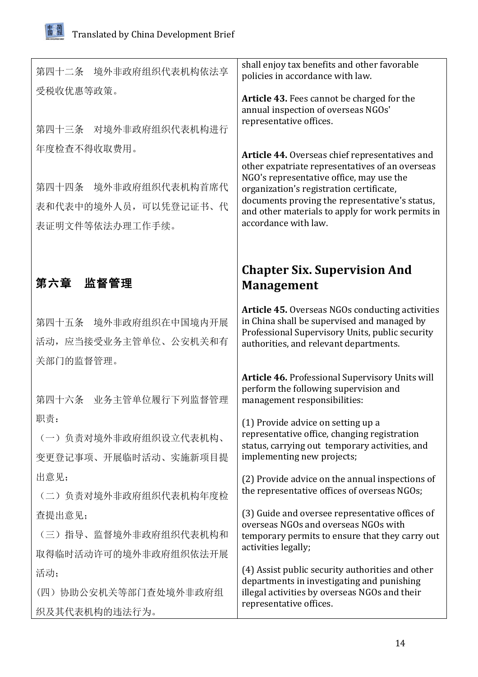<span id="page-13-0"></span>由发简

| 第四十二条 境外非政府组织代表机构依法享                                            | shall enjoy tax benefits and other favorable<br>policies in accordance with law.                                                                                                                                                                                                                                        |
|-----------------------------------------------------------------|-------------------------------------------------------------------------------------------------------------------------------------------------------------------------------------------------------------------------------------------------------------------------------------------------------------------------|
| 受税收优惠等政策。<br>第四十三条 对境外非政府组织代表机构进行                               | Article 43. Fees cannot be charged for the<br>annual inspection of overseas NGOs'<br>representative offices.                                                                                                                                                                                                            |
| 年度检查不得收取费用。                                                     |                                                                                                                                                                                                                                                                                                                         |
| 第四十四条 境外非政府组织代表机构首席代<br>表和代表中的境外人员,可以凭登记证书、代<br>表证明文件等依法办理工作手续。 | Article 44. Overseas chief representatives and<br>other expatriate representatives of an overseas<br>NGO's representative office, may use the<br>organization's registration certificate,<br>documents proving the representative's status,<br>and other materials to apply for work permits in<br>accordance with law. |
| 第六章 监督管理                                                        | <b>Chapter Six. Supervision And</b><br><b>Management</b>                                                                                                                                                                                                                                                                |
| 第四十五条 境外非政府组织在中国境内开展<br>活动, 应当接受业务主管单位、公安机关和有<br>关部门的监督管理。      | Article 45. Overseas NGOs conducting activities<br>in China shall be supervised and managed by<br>Professional Supervisory Units, public security<br>authorities, and relevant departments.                                                                                                                             |
| 第四十六条 业务主管单位履行下列监督管理                                            | Article 46. Professional Supervisory Units will<br>perform the following supervision and<br>management responsibilities:                                                                                                                                                                                                |
| 职责:<br>(一)负责对境外非政府组织设立代表机构、<br>变更登记事项、开展临时活动、实施新项目提             | (1) Provide advice on setting up a<br>representative office, changing registration<br>status, carrying out temporary activities, and<br>implementing new projects;                                                                                                                                                      |
| 出意见;                                                            | (2) Provide advice on the annual inspections of                                                                                                                                                                                                                                                                         |
| (二) 负责对境外非政府组织代表机构年度检                                           | the representative offices of overseas NGOs;                                                                                                                                                                                                                                                                            |
| 查提出意见;                                                          | (3) Guide and oversee representative offices of<br>overseas NGOs and overseas NGOs with                                                                                                                                                                                                                                 |
| (三) 指导、监督境外非政府组织代表机构和                                           | temporary permits to ensure that they carry out<br>activities legally;                                                                                                                                                                                                                                                  |
| 取得临时活动许可的境外非政府组织依法开展                                            |                                                                                                                                                                                                                                                                                                                         |
| 活动;                                                             | (4) Assist public security authorities and other<br>departments in investigating and punishing                                                                                                                                                                                                                          |
| (四) 协助公安机关等部门查处境外非政府组                                           | illegal activities by overseas NGOs and their<br>representative offices.                                                                                                                                                                                                                                                |
| 织及其代表机构的违法行为。                                                   |                                                                                                                                                                                                                                                                                                                         |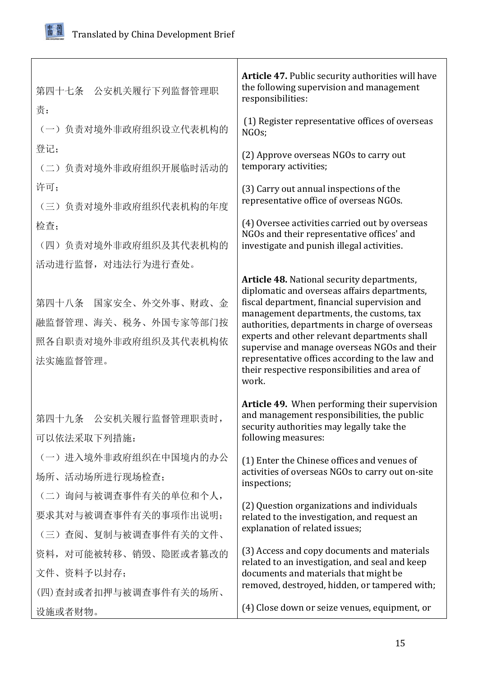

| 第四十七条 公安机关履行下列监督管理职                                                                   | Article 47. Public security authorities will have<br>the following supervision and management<br>responsibilities:                                                                                                                                                                                                                                                                                                                                    |
|---------------------------------------------------------------------------------------|-------------------------------------------------------------------------------------------------------------------------------------------------------------------------------------------------------------------------------------------------------------------------------------------------------------------------------------------------------------------------------------------------------------------------------------------------------|
| 责:<br>(一)负责对境外非政府组织设立代表机构的                                                            | (1) Register representative offices of overseas<br>NGOs;                                                                                                                                                                                                                                                                                                                                                                                              |
| 登记;<br>(二)负责对境外非政府组织开展临时活动的                                                           | (2) Approve overseas NGOs to carry out<br>temporary activities;                                                                                                                                                                                                                                                                                                                                                                                       |
| 许可;<br>(三)负责对境外非政府组织代表机构的年度                                                           | (3) Carry out annual inspections of the<br>representative office of overseas NGOs.                                                                                                                                                                                                                                                                                                                                                                    |
| 检查;<br>(四)负责对境外非政府组织及其代表机构的                                                           | (4) Oversee activities carried out by overseas<br>NGOs and their representative offices' and<br>investigate and punish illegal activities.                                                                                                                                                                                                                                                                                                            |
| 活动进行监督, 对违法行为进行查处。                                                                    |                                                                                                                                                                                                                                                                                                                                                                                                                                                       |
| 第四十八条 国家安全、外交外事、财政、金<br>融监督管理、海关、税务、外国专家等部门按<br>照各自职责对境外非政府组织及其代表机构依<br>法实施监督管理。      | Article 48. National security departments,<br>diplomatic and overseas affairs departments,<br>fiscal department, financial supervision and<br>management departments, the customs, tax<br>authorities, departments in charge of overseas<br>experts and other relevant departments shall<br>supervise and manage overseas NGOs and their<br>representative offices according to the law and<br>their respective responsibilities and area of<br>work. |
| 第四十九条 公安机关履行监督管理职责时,<br>可以依法采取下列措施:                                                   | Article 49. When performing their supervision<br>and management responsibilities, the public<br>security authorities may legally take the<br>following measures:                                                                                                                                                                                                                                                                                      |
| (一) 进入境外非政府组织在中国境内的办公<br>场所、活动场所进行现场检查;                                               | (1) Enter the Chinese offices and venues of<br>activities of overseas NGOs to carry out on-site<br>inspections;                                                                                                                                                                                                                                                                                                                                       |
| (二) 询问与被调查事件有关的单位和个人,<br>要求其对与被调查事件有关的事项作出说明;                                         | (2) Question organizations and individuals<br>related to the investigation, and request an<br>explanation of related issues;                                                                                                                                                                                                                                                                                                                          |
| (三) 查阅、复制与被调查事件有关的文件、<br>资料, 对可能被转移、销毁、隐匿或者篡改的<br>文件、资料予以封存;<br>(四)查封或者扣押与被调查事件有关的场所、 | (3) Access and copy documents and materials<br>related to an investigation, and seal and keep<br>documents and materials that might be<br>removed, destroyed, hidden, or tampered with;                                                                                                                                                                                                                                                               |
| 设施或者财物。                                                                               | (4) Close down or seize venues, equipment, or                                                                                                                                                                                                                                                                                                                                                                                                         |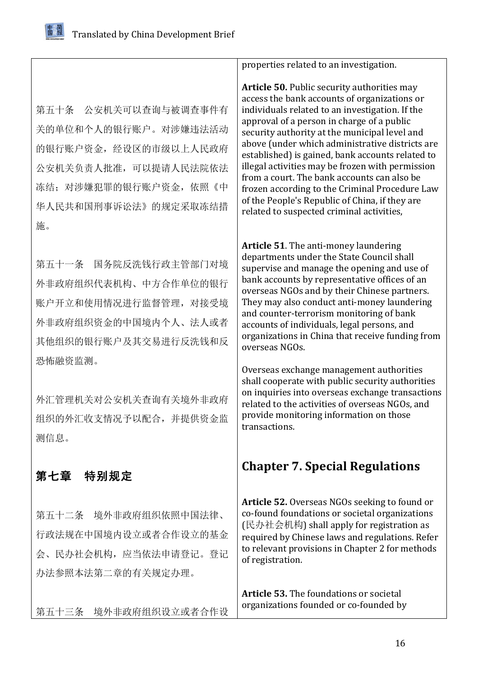<span id="page-15-0"></span>第五十条 公安机关可以查询与被调查事件有 关的单位和个人的银行账户。对涉嫌违法活动 的银行账户资金,经设区的市级以上人民政府 公安机关负责人批准,可以提请人民法院依法 冻结: 对涉嫌犯罪的银行账户资金, 依照《中 华人民共和国刑事诉讼法》的规定采取冻结措 施。

第五十一条 国务院反洗钱行政主管部门对境 外非政府组织代表机构、中方合作单位的银行 账户开立和使用情况进行监督管理,对接受境 外非政府组织资金的中国境内个人、法人或者 其他组织的银行账户及其交易进行反洗钱和反 恐怖融资监测。

外汇管理机关对公安机关查询有关境外非政府 组织的外汇收支情况予以配合,并提供资金监 测信息。

## 第七章 特别规定

第五十二条 境外非政府组织依照中国法律、 行政法规在中国境内设立或者合作设立的基金 会、民办社会机构,应当依法申请登记。登记 办法参照本法第二章的有关规定办理。

第五十三条 境外非政府组织设立或者合作设

properties related to an investigation.

**Article 50.** Public security authorities may access the bank accounts of organizations or individuals related to an investigation. If the approval of a person in charge of a public security authority at the municipal level and above (under which administrative districts are established) is gained, bank accounts related to illegal activities may be frozen with permission from a court. The bank accounts can also be frozen according to the Criminal Procedure Law of the People's Republic of China, if they are related to suspected criminal activities,

**Article 51**. The anti-money laundering departments under the State Council shall supervise and manage the opening and use of bank accounts by representative offices of an overseas NGOs and by their Chinese partners. They may also conduct anti-money laundering and counter-terrorism monitoring of bank accounts of individuals, legal persons, and organizations in China that receive funding from overseas NGOs.

Overseas exchange management authorities shall cooperate with public security authorities on inquiries into overseas exchange transactions related to the activities of overseas NGOs, and provide monitoring information on those transactions.

## **Chapter 7. Special Regulations**

**Article 52.** Overseas NGOs seeking to found or co-found foundations or societal organizations (民办社会机构) shall apply for registration as required by Chinese laws and regulations. Refer to relevant provisions in Chapter 2 for methods of registration.

**Article 53.** The foundations or societal organizations founded or co-founded by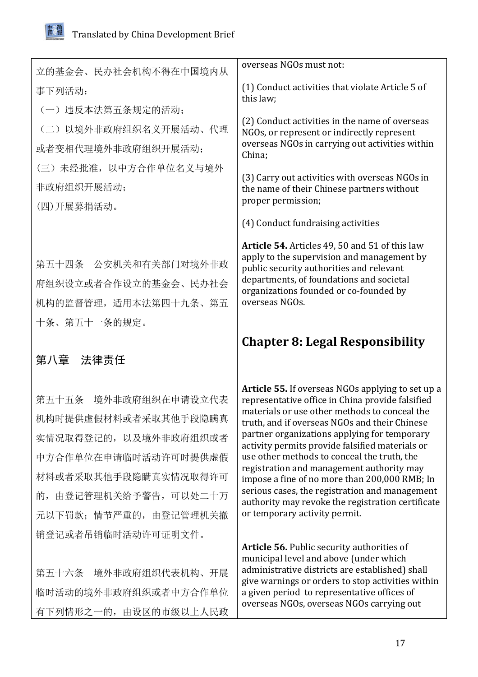临时活动的境外非政府组织或者中方合作单位

有下列情形之一的,由设区的市级以上人民政

<span id="page-16-0"></span>

| 立的基金会、民办社会机构不得在中国境内从                                                                                                                                                      | overseas NGOs must not:                                                                                                                                                                                                                                                                                                                                                                                                                                                                                                                                                                         |
|---------------------------------------------------------------------------------------------------------------------------------------------------------------------------|-------------------------------------------------------------------------------------------------------------------------------------------------------------------------------------------------------------------------------------------------------------------------------------------------------------------------------------------------------------------------------------------------------------------------------------------------------------------------------------------------------------------------------------------------------------------------------------------------|
| 事下列活动:                                                                                                                                                                    | (1) Conduct activities that violate Article 5 of<br>this law;                                                                                                                                                                                                                                                                                                                                                                                                                                                                                                                                   |
| (一) 违反本法第五条规定的活动;                                                                                                                                                         |                                                                                                                                                                                                                                                                                                                                                                                                                                                                                                                                                                                                 |
| (二) 以境外非政府组织名义开展活动、代理                                                                                                                                                     | (2) Conduct activities in the name of overseas<br>NGOs, or represent or indirectly represent                                                                                                                                                                                                                                                                                                                                                                                                                                                                                                    |
| 或者变相代理境外非政府组织开展活动;                                                                                                                                                        | overseas NGOs in carrying out activities within<br>China;                                                                                                                                                                                                                                                                                                                                                                                                                                                                                                                                       |
| (三) 未经批准, 以中方合作单位名义与境外                                                                                                                                                    | (3) Carry out activities with overseas NGOs in                                                                                                                                                                                                                                                                                                                                                                                                                                                                                                                                                  |
| 非政府组织开展活动;                                                                                                                                                                | the name of their Chinese partners without                                                                                                                                                                                                                                                                                                                                                                                                                                                                                                                                                      |
| (四)开展募捐活动。                                                                                                                                                                | proper permission;                                                                                                                                                                                                                                                                                                                                                                                                                                                                                                                                                                              |
|                                                                                                                                                                           | (4) Conduct fundraising activities                                                                                                                                                                                                                                                                                                                                                                                                                                                                                                                                                              |
| 第五十四条 公安机关和有关部门对境外非政<br>府组织设立或者合作设立的基金会、民办社会<br>机构的监督管理, 适用本法第四十九条、第五<br>十条、第五十一条的规定。                                                                                     | Article 54. Articles 49, 50 and 51 of this law<br>apply to the supervision and management by<br>public security authorities and relevant<br>departments, of foundations and societal<br>organizations founded or co-founded by<br>overseas NGOs.                                                                                                                                                                                                                                                                                                                                                |
|                                                                                                                                                                           | <b>Chapter 8: Legal Responsibility</b>                                                                                                                                                                                                                                                                                                                                                                                                                                                                                                                                                          |
| 第八章 法律责任                                                                                                                                                                  |                                                                                                                                                                                                                                                                                                                                                                                                                                                                                                                                                                                                 |
| 第五十五条 境外非政府组织在申请设立代表<br>机构时提供虚假材料或者采取其他手段隐瞒真<br>实情况取得登记的, 以及境外非政府组织或者<br>中方合作单位在申请临时活动许可时提供虚假<br>材料或者采取其他手段隐瞒真实情况取得许可<br>的, 由登记管理机关给予警告, 可以处二十万<br>元以下罚款; 情节严重的, 由登记管理机关撤 | Article 55. If overseas NGOs applying to set up a<br>representative office in China provide falsified<br>materials or use other methods to conceal the<br>truth, and if overseas NGOs and their Chinese<br>partner organizations applying for temporary<br>activity permits provide falsified materials or<br>use other methods to conceal the truth, the<br>registration and management authority may<br>impose a fine of no more than 200,000 RMB; In<br>serious cases, the registration and management<br>authority may revoke the registration certificate<br>or temporary activity permit. |
| 销登记或者吊销临时活动许可证明文件。<br>第五十六条 境外非政府组织代表机构、开展                                                                                                                                | <b>Article 56. Public security authorities of</b><br>municipal level and above (under which<br>administrative districts are established) shall<br>give warnings or orders to stop activities within                                                                                                                                                                                                                                                                                                                                                                                             |

a given period to representative offices of overseas NGOs, overseas NGOs carrying out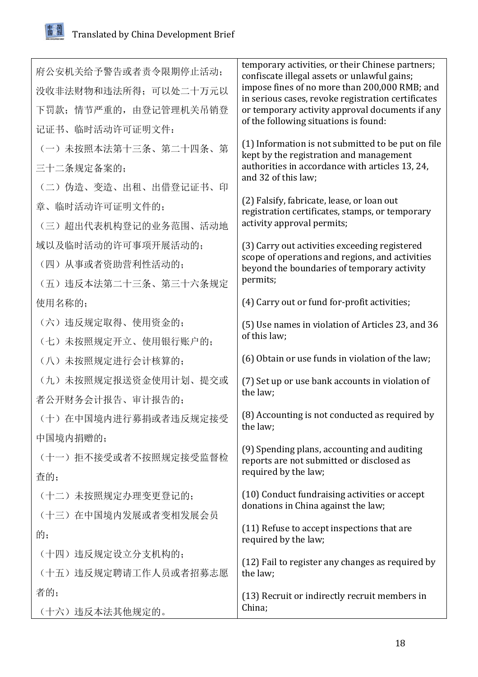## 閽

|                        | temporary activities, or their Chinese partners;                                                    |
|------------------------|-----------------------------------------------------------------------------------------------------|
| 府公安机关给予警告或者责令限期停止活动;   | confiscate illegal assets or unlawful gains;                                                        |
| 没收非法财物和违法所得; 可以处二十万元以  | impose fines of no more than 200,000 RMB; and<br>in serious cases, revoke registration certificates |
| 下罚款; 情节严重的, 由登记管理机关吊销登 | or temporary activity approval documents if any                                                     |
| 记证书、临时活动许可证明文件:        | of the following situations is found:                                                               |
| (一) 未按照本法第十三条、第二十四条、第  | (1) Information is not submitted to be put on file<br>kept by the registration and management       |
| 三十二条规定备案的;             | authorities in accordance with articles 13, 24,                                                     |
| (二) 伪造、变造、出租、出借登记证书、印  | and 32 of this law;                                                                                 |
| 章、临时活动许可证明文件的;         | (2) Falsify, fabricate, lease, or loan out<br>registration certificates, stamps, or temporary       |
| (三)超出代表机构登记的业务范围、活动地   | activity approval permits;                                                                          |
| 域以及临时活动的许可事项开展活动的;     | (3) Carry out activities exceeding registered                                                       |
| (四) 从事或者资助营利性活动的;      | scope of operations and regions, and activities<br>beyond the boundaries of temporary activity      |
| (五) 违反本法第二十三条、第三十六条规定  | permits;                                                                                            |
| 使用名称的;                 | (4) Carry out or fund for-profit activities;                                                        |
| (六) 违反规定取得、使用资金的;      | (5) Use names in violation of Articles 23, and 36                                                   |
| (七)未按照规定开立、使用银行账户的;    | of this law;                                                                                        |
| (八)未按照规定进行会计核算的;       | (6) Obtain or use funds in violation of the law;                                                    |
| (九) 未按照规定报送资金使用计划、提交或  | (7) Set up or use bank accounts in violation of                                                     |
| 者公开财务会计报告、审计报告的;       | the law;                                                                                            |
| (十) 在中国境内进行募捐或者违反规定接受  | (8) Accounting is not conducted as required by<br>the law;                                          |
| 中国境内捐赠的;               |                                                                                                     |
| (十一) 拒不接受或者不按照规定接受监督检  | (9) Spending plans, accounting and auditing<br>reports are not submitted or disclosed as            |
| 查的;                    | required by the law;                                                                                |
| (十二)未按照规定办理变更登记的;      | (10) Conduct fundraising activities or accept                                                       |
| (十三) 在中国境内发展或者变相发展会员   | donations in China against the law;                                                                 |
| 的;                     | (11) Refuse to accept inspections that are<br>required by the law;                                  |
| (十四) 违反规定设立分支机构的;      | (12) Fail to register any changes as required by                                                    |
| (十五) 违反规定聘请工作人员或者招募志愿  | the law;                                                                                            |
| 者的;                    | (13) Recruit or indirectly recruit members in                                                       |
| (十六) 违反本法其他规定的。        | China;                                                                                              |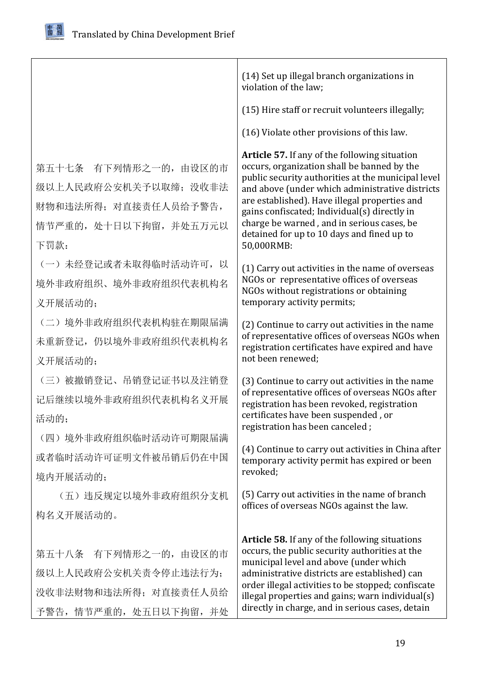由发简

|                                                                                                           | (14) Set up illegal branch organizations in<br>violation of the law;                                                                                                                                                                                                                                                                                                                                                    |
|-----------------------------------------------------------------------------------------------------------|-------------------------------------------------------------------------------------------------------------------------------------------------------------------------------------------------------------------------------------------------------------------------------------------------------------------------------------------------------------------------------------------------------------------------|
|                                                                                                           | (15) Hire staff or recruit volunteers illegally;                                                                                                                                                                                                                                                                                                                                                                        |
|                                                                                                           | (16) Violate other provisions of this law.                                                                                                                                                                                                                                                                                                                                                                              |
| 第五十七条 有下列情形之一的, 由设区的市<br>级以上人民政府公安机关予以取缔; 没收非法<br>财物和违法所得; 对直接责任人员给予警告,<br>情节严重的, 处十日以下拘留, 并处五万元以<br>下罚款: | <b>Article 57.</b> If any of the following situation<br>occurs, organization shall be banned by the<br>public security authorities at the municipal level<br>and above (under which administrative districts<br>are established). Have illegal properties and<br>gains confiscated; Individual(s) directly in<br>charge be warned, and in serious cases, be<br>detained for up to 10 days and fined up to<br>50,000RMB: |
| (一) 未经登记或者未取得临时活动许可, 以<br>境外非政府组织、境外非政府组织代表机构名<br>义开展活动的;                                                 | (1) Carry out activities in the name of overseas<br>NGOs or representative offices of overseas<br>NGOs without registrations or obtaining<br>temporary activity permits;                                                                                                                                                                                                                                                |
| (二) 境外非政府组织代表机构驻在期限届满<br>未重新登记, 仍以境外非政府组织代表机构名<br>义开展活动的;                                                 | (2) Continue to carry out activities in the name<br>of representative offices of overseas NGOs when<br>registration certificates have expired and have<br>not been renewed;                                                                                                                                                                                                                                             |
| (三) 被撤销登记、吊销登记证书以及注销登<br>记后继续以境外非政府组织代表机构名义开展<br>活动的;                                                     | (3) Continue to carry out activities in the name<br>of representative offices of overseas NGOs after<br>registration has been revoked, registration<br>certificates have been suspended, or<br>registration has been canceled;                                                                                                                                                                                          |
| (四)境外非政府组织临时活动许可期限届满<br>或者临时活动许可证明文件被吊销后仍在中国<br>境内开展活动的;                                                  | (4) Continue to carry out activities in China after<br>temporary activity permit has expired or been<br>revoked;                                                                                                                                                                                                                                                                                                        |
| (五)违反规定以境外非政府组织分支机<br>构名义开展活动的。                                                                           | (5) Carry out activities in the name of branch<br>offices of overseas NGOs against the law.                                                                                                                                                                                                                                                                                                                             |
| 第五十八条 有下列情形之一的, 由设区的市<br>级以上人民政府公安机关责令停止违法行为;<br>没收非法财物和违法所得; 对直接责任人员给<br>予警告, 情节严重的, 处五日以下拘留, 并处         | <b>Article 58.</b> If any of the following situations<br>occurs, the public security authorities at the<br>municipal level and above (under which<br>administrative districts are established) can<br>order illegal activities to be stopped; confiscate<br>illegal properties and gains; warn individual(s)<br>directly in charge, and in serious cases, detain                                                        |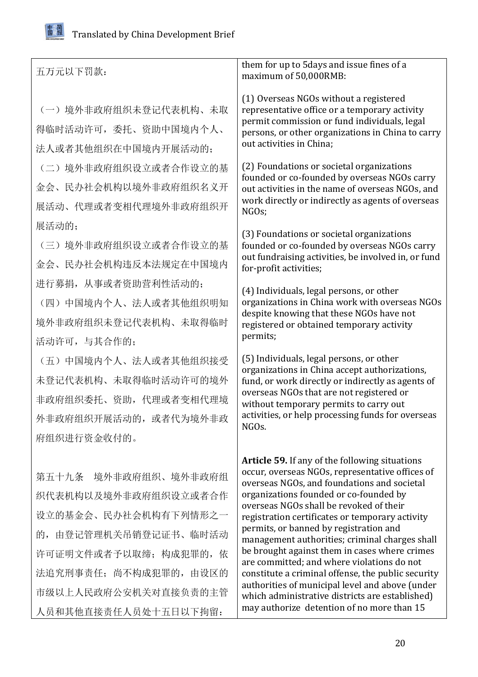

| 五万元以下罚款:                                                                                                                                                                                          | them for up to 5days and issue fines of a<br>maximum of 50,000RMB:                                                                                                                                                                                                                                                                                                                                                                                                                                                                                                                                                                                                                            |
|---------------------------------------------------------------------------------------------------------------------------------------------------------------------------------------------------|-----------------------------------------------------------------------------------------------------------------------------------------------------------------------------------------------------------------------------------------------------------------------------------------------------------------------------------------------------------------------------------------------------------------------------------------------------------------------------------------------------------------------------------------------------------------------------------------------------------------------------------------------------------------------------------------------|
| (一) 境外非政府组织未登记代表机构、未取<br>得临时活动许可, 委托、资助中国境内个人、<br>法人或者其他组织在中国境内开展活动的;                                                                                                                             | (1) Overseas NGOs without a registered<br>representative office or a temporary activity<br>permit commission or fund individuals, legal<br>persons, or other organizations in China to carry<br>out activities in China;                                                                                                                                                                                                                                                                                                                                                                                                                                                                      |
| (二)境外非政府组织设立或者合作设立的基<br>金会、民办社会机构以境外非政府组织名义开<br>展活动、代理或者变相代理境外非政府组织开                                                                                                                              | (2) Foundations or societal organizations<br>founded or co-founded by overseas NGOs carry<br>out activities in the name of overseas NGOs, and<br>work directly or indirectly as agents of overseas<br>NGOs;                                                                                                                                                                                                                                                                                                                                                                                                                                                                                   |
| 展活动的;<br>(三) 境外非政府组织设立或者合作设立的基<br>金会、民办社会机构违反本法规定在中国境内                                                                                                                                            | (3) Foundations or societal organizations<br>founded or co-founded by overseas NGOs carry<br>out fundraising activities, be involved in, or fund<br>for-profit activities;                                                                                                                                                                                                                                                                                                                                                                                                                                                                                                                    |
| 进行募捐, 从事或者资助营利性活动的;<br>(四) 中国境内个人、法人或者其他组织明知<br>境外非政府组织未登记代表机构、未取得临时<br>活动许可,与其合作的;                                                                                                               | (4) Individuals, legal persons, or other<br>organizations in China work with overseas NGOs<br>despite knowing that these NGOs have not<br>registered or obtained temporary activity<br>permits;                                                                                                                                                                                                                                                                                                                                                                                                                                                                                               |
| (五) 中国境内个人、法人或者其他组织接受<br>未登记代表机构、未取得临时活动许可的境外<br>非政府组织委托、资助, 代理或者变相代理境<br>外非政府组织开展活动的, 或者代为境外非政<br>府组织进行资金收付的。                                                                                    | (5) Individuals, legal persons, or other<br>organizations in China accept authorizations,<br>fund, or work directly or indirectly as agents of<br>overseas NGOs that are not registered or<br>without temporary permits to carry out<br>activities, or help processing funds for overseas<br>NGO <sub>s</sub> .                                                                                                                                                                                                                                                                                                                                                                               |
| 第五十九条 境外非政府组织、境外非政府组<br>织代表机构以及境外非政府组织设立或者合作<br>设立的基金会、民办社会机构有下列情形之一<br>的, 由登记管理机关吊销登记证书、临时活动<br>许可证明文件或者予以取缔; 构成犯罪的, 依<br>法追究刑事责任; 尚不构成犯罪的, 由设区的<br>市级以上人民政府公安机关对直接负责的主管<br>人员和其他直接责任人员处十五日以下拘留: | Article 59. If any of the following situations<br>occur, overseas NGOs, representative offices of<br>overseas NGOs, and foundations and societal<br>organizations founded or co-founded by<br>overseas NGOs shall be revoked of their<br>registration certificates or temporary activity<br>permits, or banned by registration and<br>management authorities; criminal charges shall<br>be brought against them in cases where crimes<br>are committed; and where violations do not<br>constitute a criminal offense, the public security<br>authorities of municipal level and above (under<br>which administrative districts are established)<br>may authorize detention of no more than 15 |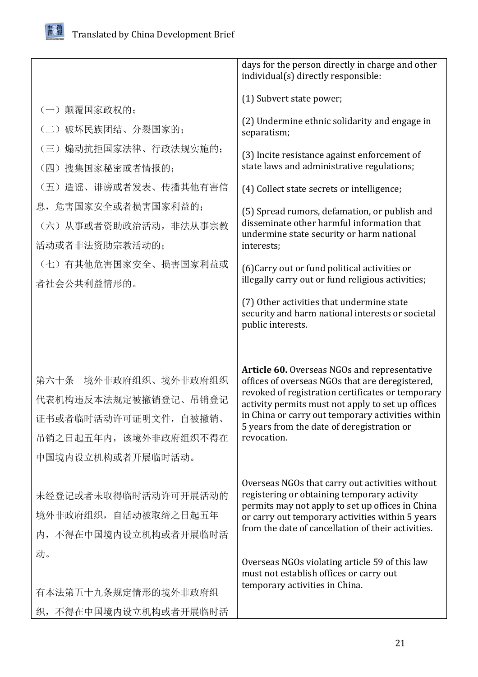

|                                                                                                                       | days for the person directly in charge and other<br>individual(s) directly responsible:                                                                                                                                                                                                                                            |
|-----------------------------------------------------------------------------------------------------------------------|------------------------------------------------------------------------------------------------------------------------------------------------------------------------------------------------------------------------------------------------------------------------------------------------------------------------------------|
| (一) 颠覆国家政权的;                                                                                                          | (1) Subvert state power;                                                                                                                                                                                                                                                                                                           |
| (二)破坏民族团结、分裂国家的;                                                                                                      | (2) Undermine ethnic solidarity and engage in<br>separatism;                                                                                                                                                                                                                                                                       |
| 煽动抗拒国家法律、行政法规实施的;<br>$\left(\equiv\right)$<br>(四)搜集国家秘密或者情报的;                                                         | (3) Incite resistance against enforcement of<br>state laws and administrative regulations;                                                                                                                                                                                                                                         |
| (五) 造谣、诽谤或者发表、传播其他有害信                                                                                                 | (4) Collect state secrets or intelligence;                                                                                                                                                                                                                                                                                         |
| 息, 危害国家安全或者损害国家利益的;                                                                                                   | (5) Spread rumors, defamation, or publish and<br>disseminate other harmful information that                                                                                                                                                                                                                                        |
| (六) 从事或者资助政治活动, 非法从事宗教<br>活动或者非法资助宗教活动的;                                                                              | undermine state security or harm national<br>interests;                                                                                                                                                                                                                                                                            |
| (七) 有其他危害国家安全、损害国家利益或<br>者社会公共利益情形的。                                                                                  | (6) Carry out or fund political activities or<br>illegally carry out or fund religious activities;                                                                                                                                                                                                                                 |
|                                                                                                                       | (7) Other activities that undermine state<br>security and harm national interests or societal<br>public interests.                                                                                                                                                                                                                 |
| 境外非政府组织、境外非政府组织<br>第六十条<br>代表机构违反本法规定被撤销登记、吊销登记<br>证书或者临时活动许可证明文件,自被撤销、<br>吊销之日起五年内, 该境外非政府组织不得在<br>中国境内设立机构或者开展临时活动。 | <b>Article 60.</b> Overseas NGOs and representative<br>offices of overseas NGOs that are deregistered,<br>revoked of registration certificates or temporary<br>activity permits must not apply to set up offices<br>in China or carry out temporary activities within<br>5 years from the date of deregistration or<br>revocation. |
| 未经登记或者未取得临时活动许可开展活动的<br>境外非政府组织, 自活动被取缔之日起五年<br>内, 不得在中国境内设立机构或者开展临时活                                                 | Overseas NGOs that carry out activities without<br>registering or obtaining temporary activity<br>permits may not apply to set up offices in China<br>or carry out temporary activities within 5 years<br>from the date of cancellation of their activities.                                                                       |
| 动。                                                                                                                    | Overseas NGOs violating article 59 of this law<br>must not establish offices or carry out<br>temporary activities in China.                                                                                                                                                                                                        |
| 有本法第五十九条规定情形的境外非政府组                                                                                                   |                                                                                                                                                                                                                                                                                                                                    |
| 织,不得在中国境内设立机构或者开展临时活                                                                                                  |                                                                                                                                                                                                                                                                                                                                    |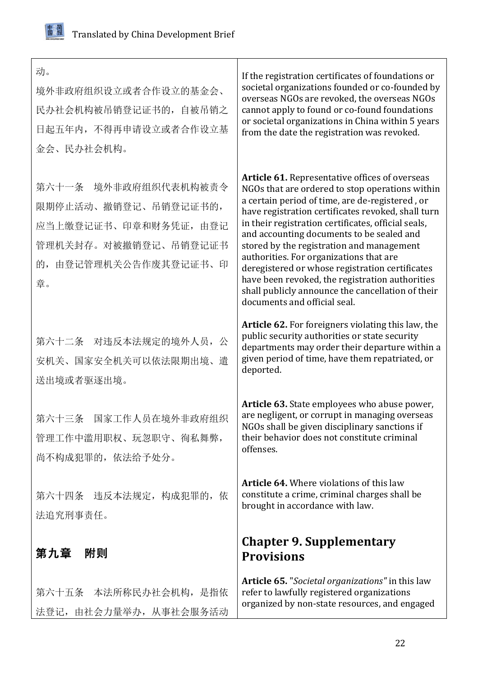<span id="page-21-0"></span>

| 动。<br>境外非政府组织设立或者合作设立的基金会、<br>民办社会机构被吊销登记证书的, 自被吊销之<br>日起五年内, 不得再申请设立或者合作设立基<br>金会、民办社会机构。                                   | If the registration certificates of foundations or<br>societal organizations founded or co-founded by<br>overseas NGOs are revoked, the overseas NGOs<br>cannot apply to found or co-found foundations<br>or societal organizations in China within 5 years<br>from the date the registration was revoked.                                                                                                                                                                                                                                                                                               |
|------------------------------------------------------------------------------------------------------------------------------|----------------------------------------------------------------------------------------------------------------------------------------------------------------------------------------------------------------------------------------------------------------------------------------------------------------------------------------------------------------------------------------------------------------------------------------------------------------------------------------------------------------------------------------------------------------------------------------------------------|
| 第六十一条 境外非政府组织代表机构被责令<br>限期停止活动、撤销登记、吊销登记证书的,<br>应当上缴登记证书、印章和财务凭证, 由登记<br>管理机关封存。对被撤销登记、吊销登记证书<br>的, 由登记管理机关公告作废其登记证书、印<br>章。 | <b>Article 61.</b> Representative offices of overseas<br>NGOs that are ordered to stop operations within<br>a certain period of time, are de-registered, or<br>have registration certificates revoked, shall turn<br>in their registration certificates, official seals,<br>and accounting documents to be sealed and<br>stored by the registration and management<br>authorities. For organizations that are<br>deregistered or whose registration certificates<br>have been revoked, the registration authorities<br>shall publicly announce the cancellation of their<br>documents and official seal. |
| 第六十二条 对违反本法规定的境外人员, 公<br>安机关、国家安全机关可以依法限期出境、遣<br>送出境或者驱逐出境。                                                                  | Article 62. For foreigners violating this law, the<br>public security authorities or state security<br>departments may order their departure within a<br>given period of time, have them repatriated, or<br>deported.                                                                                                                                                                                                                                                                                                                                                                                    |
| 第六十三条 国家工作人员在境外非政府组织<br>管理工作中滥用职权、玩忽职守、徇私舞弊,<br>尚不构成犯罪的, 依法给予处分。                                                             | Article 63. State employees who abuse power,<br>are negligent, or corrupt in managing overseas<br>NGOs shall be given disciplinary sanctions if<br>their behavior does not constitute criminal<br>offenses.                                                                                                                                                                                                                                                                                                                                                                                              |
| 第六十四条 违反本法规定, 构成犯罪的, 依<br>法追究刑事责任。                                                                                           | <b>Article 64.</b> Where violations of this law<br>constitute a crime, criminal charges shall be<br>brought in accordance with law.                                                                                                                                                                                                                                                                                                                                                                                                                                                                      |
| 第九章<br>附则                                                                                                                    | <b>Chapter 9. Supplementary</b><br><b>Provisions</b>                                                                                                                                                                                                                                                                                                                                                                                                                                                                                                                                                     |
| 第六十五条 本法所称民办社会机构, 是指依<br>法登记, 由社会力量举办, 从事社会服务活动                                                                              | <b>Article 65.</b> "Societal organizations" in this law<br>refer to lawfully registered organizations<br>organized by non-state resources, and engaged                                                                                                                                                                                                                                                                                                                                                                                                                                                   |